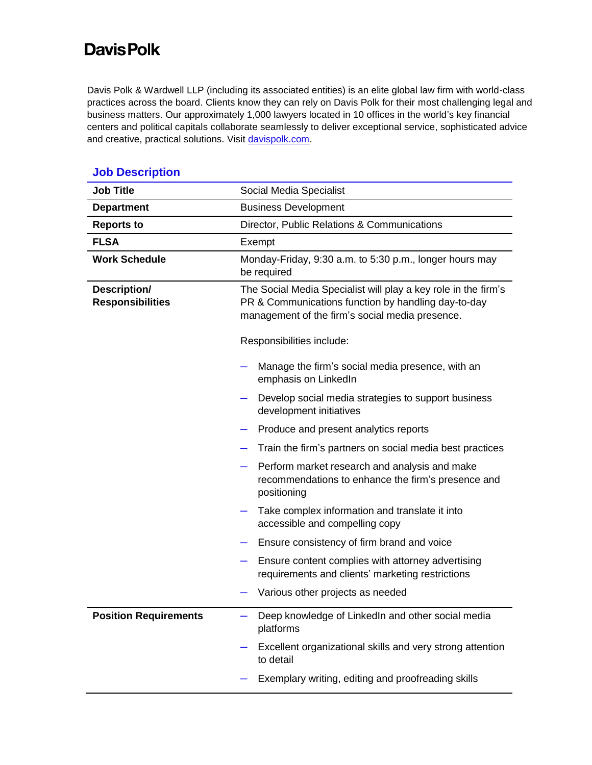## **Davis Polk**

Davis Polk & Wardwell LLP (including its associated entities) is an elite global law firm with world-class practices across the board. Clients know they can rely on Davis Polk for their most challenging legal and business matters. Our approximately 1,000 lawyers located in 10 offices in the world's key financial centers and political capitals collaborate seamlessly to deliver exceptional service, sophisticated advice and creative, practical solutions. Visit [davispolk.com.](https://www.davispolk.com/)

| <b>Job Title</b>                               | Social Media Specialist                                                                                                                                                  |
|------------------------------------------------|--------------------------------------------------------------------------------------------------------------------------------------------------------------------------|
| <b>Department</b>                              | <b>Business Development</b>                                                                                                                                              |
| <b>Reports to</b>                              | Director, Public Relations & Communications                                                                                                                              |
| <b>FLSA</b>                                    | Exempt                                                                                                                                                                   |
| <b>Work Schedule</b>                           | Monday-Friday, 9:30 a.m. to 5:30 p.m., longer hours may<br>be required                                                                                                   |
| <b>Description/</b><br><b>Responsibilities</b> | The Social Media Specialist will play a key role in the firm's<br>PR & Communications function by handling day-to-day<br>management of the firm's social media presence. |
|                                                | Responsibilities include:                                                                                                                                                |
|                                                | Manage the firm's social media presence, with an<br>emphasis on LinkedIn                                                                                                 |
|                                                | Develop social media strategies to support business<br>development initiatives                                                                                           |
|                                                | Produce and present analytics reports                                                                                                                                    |
|                                                | Train the firm's partners on social media best practices                                                                                                                 |
|                                                | Perform market research and analysis and make<br>recommendations to enhance the firm's presence and<br>positioning                                                       |
|                                                | Take complex information and translate it into<br>accessible and compelling copy                                                                                         |
|                                                | Ensure consistency of firm brand and voice                                                                                                                               |
|                                                | Ensure content complies with attorney advertising<br>requirements and clients' marketing restrictions                                                                    |
|                                                | Various other projects as needed                                                                                                                                         |
| <b>Position Requirements</b>                   | Deep knowledge of LinkedIn and other social media<br>platforms                                                                                                           |
|                                                | Excellent organizational skills and very strong attention<br>to detail                                                                                                   |
|                                                | Exemplary writing, editing and proofreading skills                                                                                                                       |

## **Job Description**